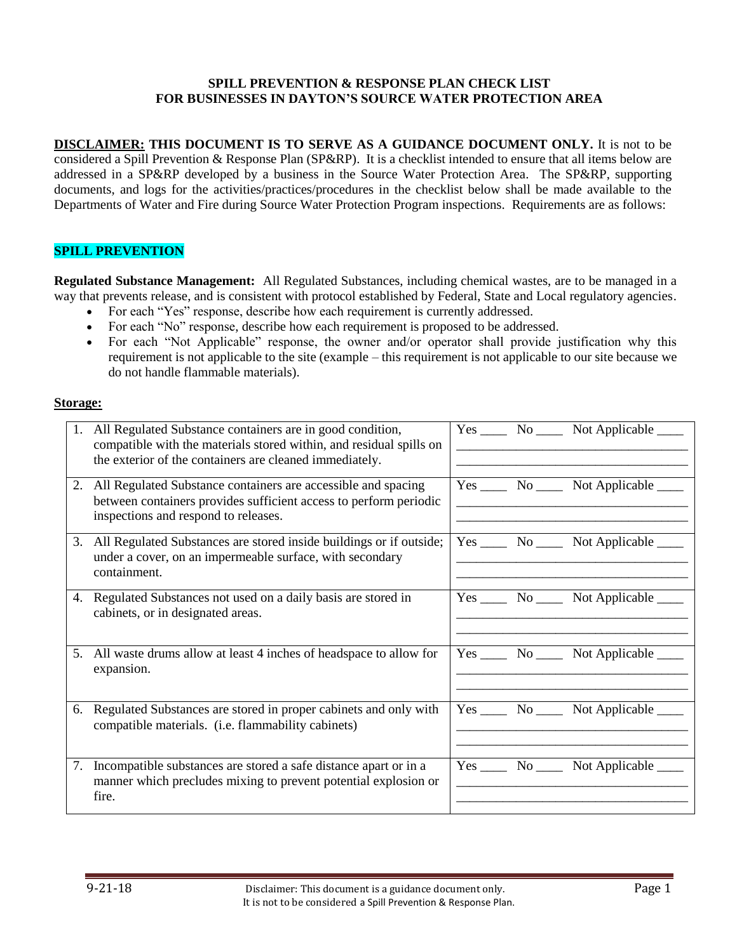### **SPILL PREVENTION & RESPONSE PLAN CHECK LIST FOR BUSINESSES IN DAYTON'S SOURCE WATER PROTECTION AREA**

**DISCLAIMER: THIS DOCUMENT IS TO SERVE AS A GUIDANCE DOCUMENT ONLY.** It is not to be considered a Spill Prevention & Response Plan (SP&RP). It is a checklist intended to ensure that all items below are addressed in a SP&RP developed by a business in the Source Water Protection Area. The SP&RP, supporting documents, and logs for the activities/practices/procedures in the checklist below shall be made available to the Departments of Water and Fire during Source Water Protection Program inspections. Requirements are as follows:

## **SPILL PREVENTION**

**Regulated Substance Management:** All Regulated Substances, including chemical wastes, are to be managed in a way that prevents release, and is consistent with protocol established by Federal, State and Local regulatory agencies.

- For each "Yes" response, describe how each requirement is currently addressed.
- For each "No" response, describe how each requirement is proposed to be addressed.
- For each "Not Applicable" response, the owner and/or operator shall provide justification why this requirement is not applicable to the site (example – this requirement is not applicable to our site because we do not handle flammable materials).

### **Storage:**

|    | 1. All Regulated Substance containers are in good condition,<br>compatible with the materials stored within, and residual spills on<br>the exterior of the containers are cleaned immediately. |  | $Yes \_\_\_$ No $\_\_\_\$ Not Applicable $\_\_\_\_\$ |
|----|------------------------------------------------------------------------------------------------------------------------------------------------------------------------------------------------|--|------------------------------------------------------|
|    | 2. All Regulated Substance containers are accessible and spacing<br>between containers provides sufficient access to perform periodic<br>inspections and respond to releases.                  |  | Yes ________ No ________ Not Applicable ______       |
|    | 3. All Regulated Substances are stored inside buildings or if outside;<br>under a cover, on an impermeable surface, with secondary<br>containment.                                             |  | Yes ________ No ________ Not Applicable ______       |
|    | 4. Regulated Substances not used on a daily basis are stored in<br>cabinets, or in designated areas.                                                                                           |  | Yes ________ No ________ Not Applicable ______       |
| 5. | All waste drums allow at least 4 inches of headspace to allow for<br>expansion.                                                                                                                |  | $Yes \_\_\_$ No $\_\_\_\$ Not Applicable $\_\_\_\_\$ |
| 6. | Regulated Substances are stored in proper cabinets and only with<br>compatible materials. (i.e. flammability cabinets)                                                                         |  | Yes ________ No ________ Not Applicable ______       |
|    | 7. Incompatible substances are stored a safe distance apart or in a<br>manner which precludes mixing to prevent potential explosion or<br>fire.                                                |  | Yes ________ No ________ Not Applicable ______       |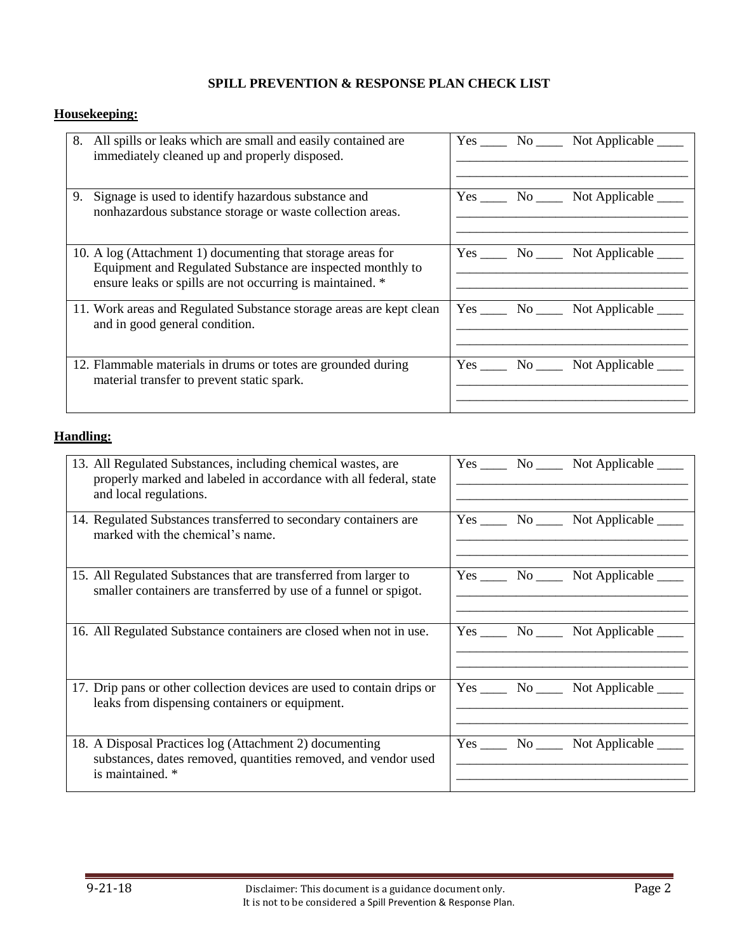# **Housekeeping:**

|    | 8. All spills or leaks which are small and easily contained are<br>immediately cleaned up and properly disposed.                                                                       |  | Yes _______ No _______ Not Applicable ______   |
|----|----------------------------------------------------------------------------------------------------------------------------------------------------------------------------------------|--|------------------------------------------------|
| 9. | Signage is used to identify hazardous substance and<br>nonhazardous substance storage or waste collection areas.                                                                       |  | Yes ________ No ________ Not Applicable ______ |
|    | 10. A log (Attachment 1) documenting that storage areas for<br>Equipment and Regulated Substance are inspected monthly to<br>ensure leaks or spills are not occurring is maintained. * |  | Yes ________ No ________ Not Applicable ______ |
|    | 11. Work areas and Regulated Substance storage areas are kept clean<br>and in good general condition.                                                                                  |  | Yes _______ No _______ Not Applicable _____    |
|    | 12. Flammable materials in drums or totes are grounded during<br>material transfer to prevent static spark.                                                                            |  | Yes _______ No _______ Not Applicable ______   |

# **Handling:**

| 13. All Regulated Substances, including chemical wastes, are<br>properly marked and labeled in accordance with all federal, state<br>and local regulations. | Yes _______ No _______ Not Applicable ______       |
|-------------------------------------------------------------------------------------------------------------------------------------------------------------|----------------------------------------------------|
| 14. Regulated Substances transferred to secondary containers are<br>marked with the chemical's name.                                                        | Yes _______ No _______ Not Applicable ______       |
| 15. All Regulated Substances that are transferred from larger to<br>smaller containers are transferred by use of a funnel or spigot.                        | $Yes \_\_\_$ No $\_\_\_$ Not Applicable $\_\_\_\_$ |
| 16. All Regulated Substance containers are closed when not in use.                                                                                          | $Yes \_\_\_$ No $\_\_\_$ Not Applicable $\_\_\_\_$ |
| 17. Drip pans or other collection devices are used to contain drips or<br>leaks from dispensing containers or equipment.                                    | Yes <u>No</u> No Not Applicable                    |
| 18. A Disposal Practices log (Attachment 2) documenting<br>substances, dates removed, quantities removed, and vendor used<br>is maintained. *               | Yes ________ No ________ Not Applicable ______     |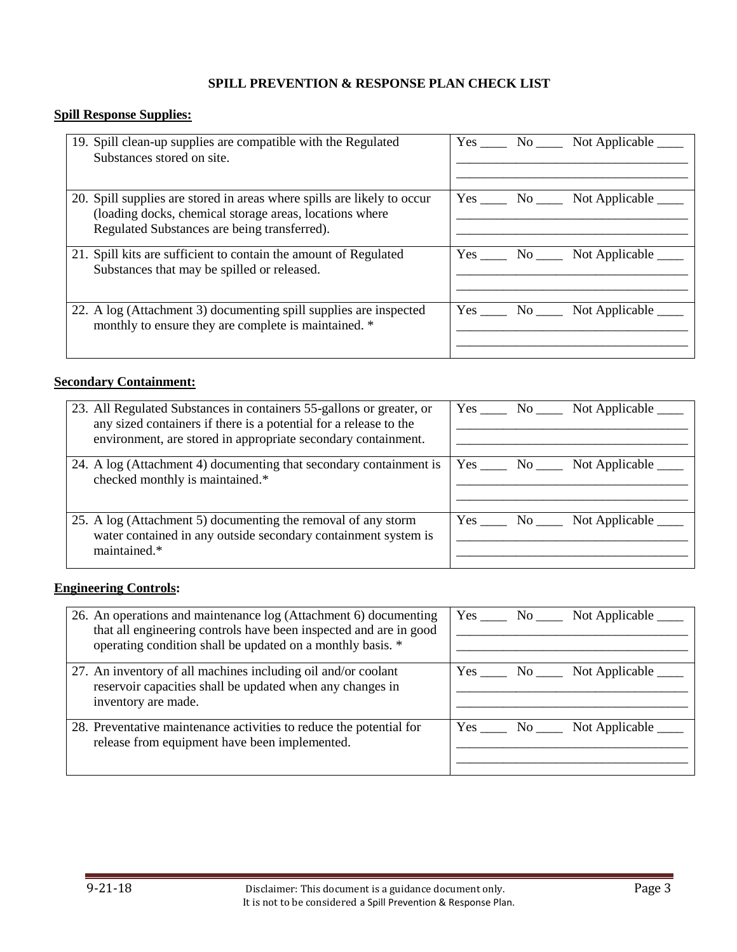# **Spill Response Supplies:**

| 19. Spill clean-up supplies are compatible with the Regulated<br>Substances stored on site.                                                                                        | $Yes \_\_\_$ No $\_\_\_$ Not Applicable $\_\_\_$ |
|------------------------------------------------------------------------------------------------------------------------------------------------------------------------------------|--------------------------------------------------|
| 20. Spill supplies are stored in areas where spills are likely to occur<br>(loading docks, chemical storage areas, locations where<br>Regulated Substances are being transferred). | Yes No No Not Applicable                         |
| 21. Spill kits are sufficient to contain the amount of Regulated<br>Substances that may be spilled or released.                                                                    | Yes No No Not Applicable                         |
| 22. A log (Attachment 3) documenting spill supplies are inspected<br>monthly to ensure they are complete is maintained. *                                                          | Yes <u>No</u> No Not Applicable                  |

### **Secondary Containment:**

| 23. All Regulated Substances in containers 55-gallons or greater, or<br>any sized containers if there is a potential for a release to the<br>environment, are stored in appropriate secondary containment. | Yes _______ No _______ Not Applicable ______   |
|------------------------------------------------------------------------------------------------------------------------------------------------------------------------------------------------------------|------------------------------------------------|
| 24. A log (Attachment 4) documenting that secondary containment is<br>checked monthly is maintained.*                                                                                                      | Yes ________ No ________ Not Applicable ______ |
| 25. A log (Attachment 5) documenting the removal of any storm<br>water contained in any outside secondary containment system is<br>maintained.*                                                            | Yes No No Not Applicable                       |

# **Engineering Controls:**

| 26. An operations and maintenance log (Attachment 6) documenting<br>that all engineering controls have been inspected and are in good<br>operating condition shall be updated on a monthly basis. * | $Yes \_\_\_ No \_\_\_$<br>Not Applicable $\overline{\phantom{a}}$ |
|-----------------------------------------------------------------------------------------------------------------------------------------------------------------------------------------------------|-------------------------------------------------------------------|
| 27. An inventory of all machines including oil and/or coolant<br>reservoir capacities shall be updated when any changes in<br>inventory are made.                                                   | $Yes \_\_\_$ No $\_\_\_\$ Not Applicable $\_\_\_\_\$              |
| 28. Preventative maintenance activities to reduce the potential for<br>release from equipment have been implemented.                                                                                | $Yes \_\_ No \_\_$<br>Not Applicable                              |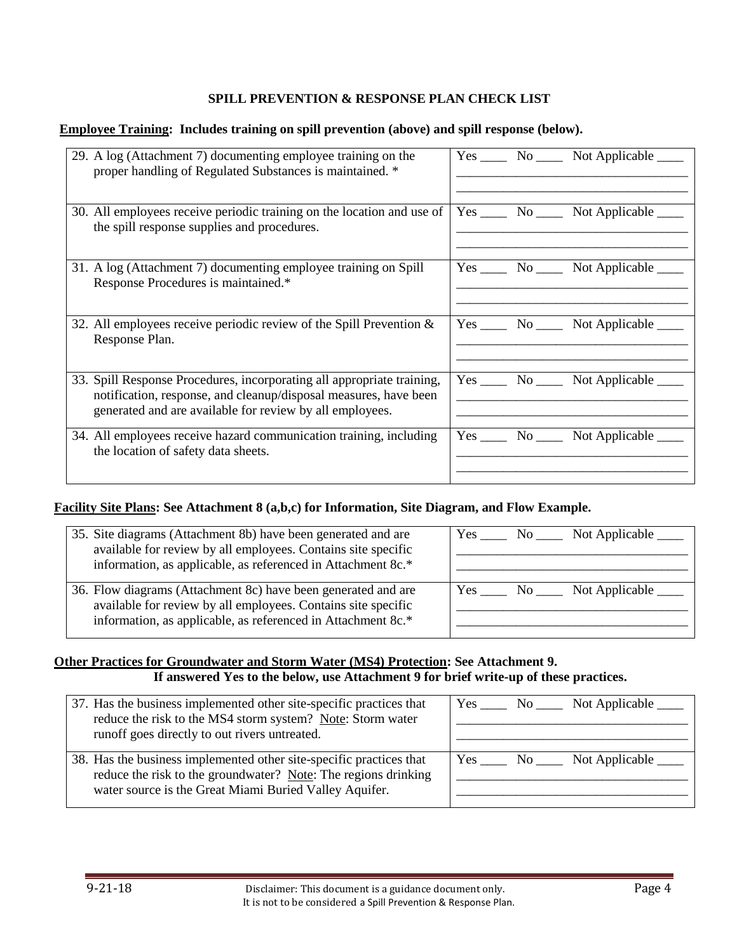#### **Employee Training: Includes training on spill prevention (above) and spill response (below).**

| 29. A log (Attachment 7) documenting employee training on the<br>proper handling of Regulated Substances is maintained. *                                                                              | Yes _______ No _______ Not Applicable ______ |
|--------------------------------------------------------------------------------------------------------------------------------------------------------------------------------------------------------|----------------------------------------------|
| 30. All employees receive periodic training on the location and use of<br>the spill response supplies and procedures.                                                                                  | Yes ______ No ______ Not Applicable _____    |
| 31. A log (Attachment 7) documenting employee training on Spill<br>Response Procedures is maintained.*                                                                                                 | Yes ______ No ______ Not Applicable _____    |
| 32. All employees receive periodic review of the Spill Prevention $\&$<br>Response Plan.                                                                                                               | Yes ______ No ______ Not Applicable _____    |
| 33. Spill Response Procedures, incorporating all appropriate training,<br>notification, response, and cleanup/disposal measures, have been<br>generated and are available for review by all employees. | Yes ______ No ______ Not Applicable _____    |
| 34. All employees receive hazard communication training, including<br>the location of safety data sheets.                                                                                              | Yes ______ No ______ Not Applicable _____    |

#### **Facility Site Plans: See Attachment 8 (a,b,c) for Information, Site Diagram, and Flow Example.**

| 35. Site diagrams (Attachment 8b) have been generated and are<br>available for review by all employees. Contains site specific<br>information, as applicable, as referenced in Attachment 8c.* | Yes No No Not Applicable |
|------------------------------------------------------------------------------------------------------------------------------------------------------------------------------------------------|--------------------------|
| 36. Flow diagrams (Attachment 8c) have been generated and are<br>available for review by all employees. Contains site specific<br>information, as applicable, as referenced in Attachment 8c.* | Yes No Not Applicable    |

### **Other Practices for Groundwater and Storm Water (MS4) Protection: See Attachment 9. If answered Yes to the below, use Attachment 9 for brief write-up of these practices.**

| 37. Has the business implemented other site-specific practices that<br>reduce the risk to the MS4 storm system? Note: Storm water<br>runoff goes directly to out rivers untreated.              | Yes <u>No</u> No Not Applicable                    |
|-------------------------------------------------------------------------------------------------------------------------------------------------------------------------------------------------|----------------------------------------------------|
| 38. Has the business implemented other site-specific practices that<br>reduce the risk to the groundwater? Note: The regions drinking<br>water source is the Great Miami Buried Valley Aquifer. | $Yes \_\_\_$ No $\_\_\_$ Not Applicable $\_\_\_\_$ |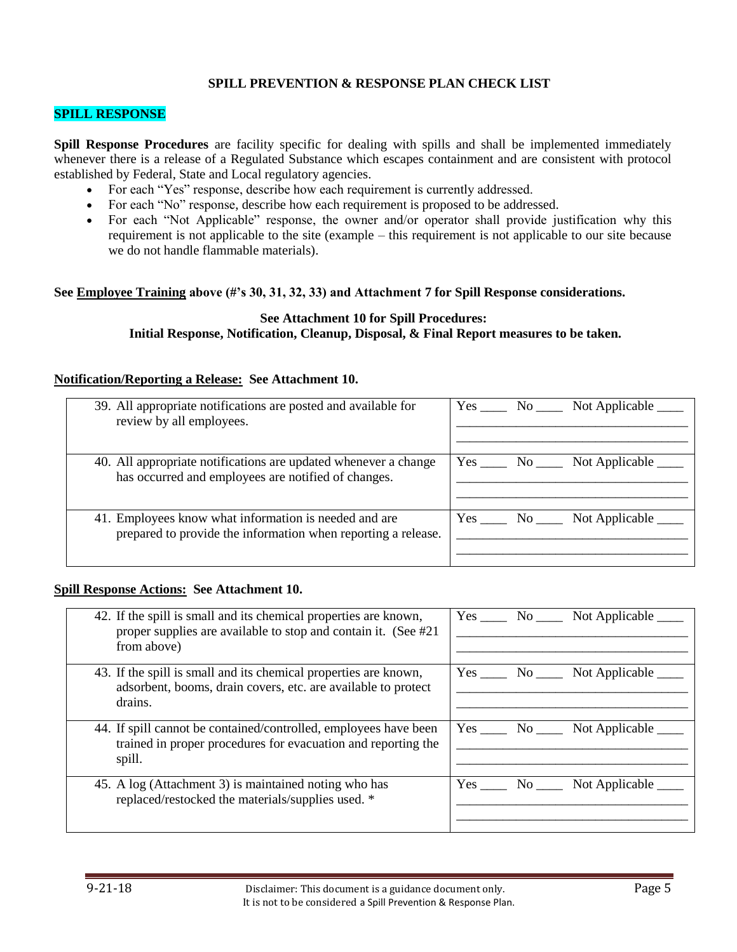#### **SPILL RESPONSE**

**Spill Response Procedures** are facility specific for dealing with spills and shall be implemented immediately whenever there is a release of a Regulated Substance which escapes containment and are consistent with protocol established by Federal, State and Local regulatory agencies.

- For each "Yes" response, describe how each requirement is currently addressed.
- For each "No" response, describe how each requirement is proposed to be addressed.
- For each "Not Applicable" response, the owner and/or operator shall provide justification why this requirement is not applicable to the site (example – this requirement is not applicable to our site because we do not handle flammable materials).

#### **See Employee Training above (#'s 30, 31, 32, 33) and Attachment 7 for Spill Response considerations.**

#### **See Attachment 10 for Spill Procedures: Initial Response, Notification, Cleanup, Disposal, & Final Report measures to be taken.**

#### **Notification/Reporting a Release: See Attachment 10.**

| 39. All appropriate notifications are posted and available for<br>review by all employees.                             | Yes No No Not Applicable                    |
|------------------------------------------------------------------------------------------------------------------------|---------------------------------------------|
| 40. All appropriate notifications are updated whenever a change<br>has occurred and employees are notified of changes. | Yes _______ No _______ Not Applicable _____ |
| 41. Employees know what information is needed and are<br>prepared to provide the information when reporting a release. | Yes <u>No</u> No Not Applicable             |

#### **Spill Response Actions: See Attachment 10.**

| 42. If the spill is small and its chemical properties are known,<br>proper supplies are available to stop and contain it. (See #21)<br>from above) | Yes No<br>Not Applicable                                                                                                                 |
|----------------------------------------------------------------------------------------------------------------------------------------------------|------------------------------------------------------------------------------------------------------------------------------------------|
| 43. If the spill is small and its chemical properties are known,<br>adsorbent, booms, drain covers, etc. are available to protect<br>drains.       | Yes<br>Not Applicable<br>No the set of the set of the set of the set of the set of the set of the set of the set of the set of the set o |
| 44. If spill cannot be contained/controlled, employees have been<br>trained in proper procedures for evacuation and reporting the<br>spill.        | $Yes \_\_\_ No \_\_\_$<br>Not Applicable                                                                                                 |
| 45. A log (Attachment 3) is maintained noting who has<br>replaced/restocked the materials/supplies used. *                                         | Yes<br>Not Applicable<br>No the set of the set of the set of the set of the set of the set of the set of the set of the set of the set o |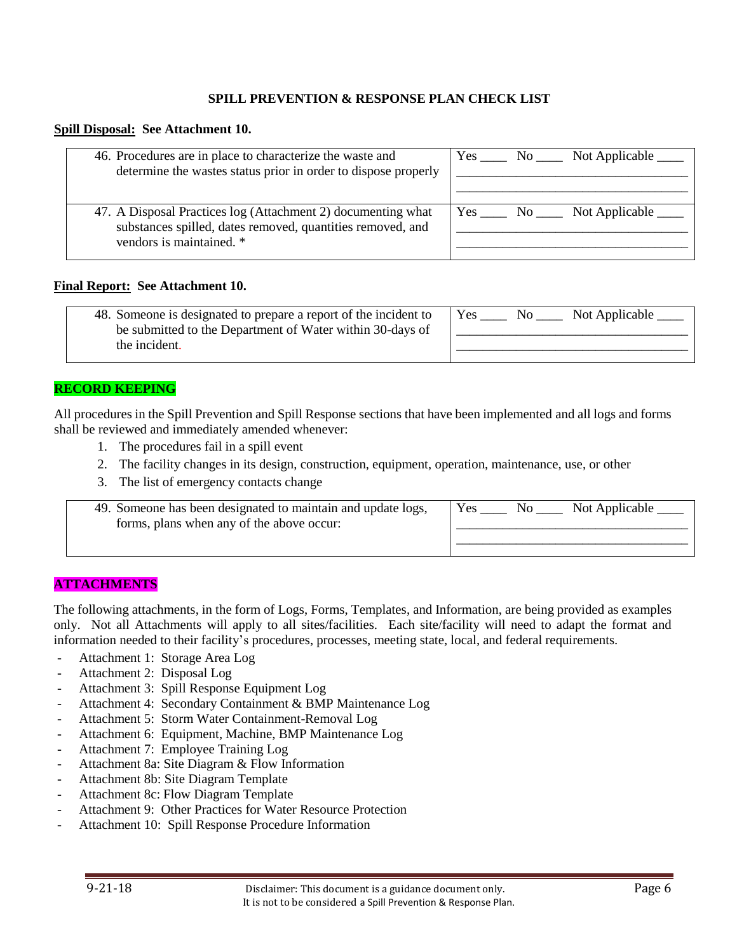#### **Spill Disposal: See Attachment 10.**

| 46. Procedures are in place to characterize the waste and                                                                  |  | Yes <u>No</u> No Not Applicable |
|----------------------------------------------------------------------------------------------------------------------------|--|---------------------------------|
| determine the wastes status prior in order to dispose properly                                                             |  |                                 |
|                                                                                                                            |  |                                 |
|                                                                                                                            |  |                                 |
| 47. A Disposal Practices log (Attachment 2) documenting what<br>substances spilled, dates removed, quantities removed, and |  | Yes <u>No</u> No Not Applicable |
| vendors is maintained. *                                                                                                   |  |                                 |
|                                                                                                                            |  |                                 |
|                                                                                                                            |  |                                 |

#### **Final Report: See Attachment 10.**

| 48. Someone is designated to prepare a report of the incident to | Yes<br>Not Applicable<br>No |
|------------------------------------------------------------------|-----------------------------|
| be submitted to the Department of Water within 30-days of        |                             |
| the incident.                                                    |                             |

#### **RECORD KEEPING**

All procedures in the Spill Prevention and Spill Response sections that have been implemented and all logs and forms shall be reviewed and immediately amended whenever:

- 1. The procedures fail in a spill event
- 2. The facility changes in its design, construction, equipment, operation, maintenance, use, or other
- 3. The list of emergency contacts change

| 49. Someone has been designated to maintain and update logs,<br>forms, plans when any of the above occur: | Yes | NO. | Not Applicable |
|-----------------------------------------------------------------------------------------------------------|-----|-----|----------------|
|                                                                                                           |     |     |                |

#### **ATTACHMENTS**

The following attachments, in the form of Logs, Forms, Templates, and Information, are being provided as examples only. Not all Attachments will apply to all sites/facilities. Each site/facility will need to adapt the format and information needed to their facility's procedures, processes, meeting state, local, and federal requirements.

- Attachment 1: Storage Area Log
- Attachment 2: Disposal Log
- Attachment 3: Spill Response Equipment Log
- Attachment 4: Secondary Containment & BMP Maintenance Log
- Attachment 5: Storm Water Containment-Removal Log
- Attachment 6: Equipment, Machine, BMP Maintenance Log
- Attachment 7: Employee Training Log
- Attachment 8a: Site Diagram & Flow Information
- Attachment 8b: Site Diagram Template
- Attachment 8c: Flow Diagram Template
- Attachment 9: Other Practices for Water Resource Protection
- Attachment 10: Spill Response Procedure Information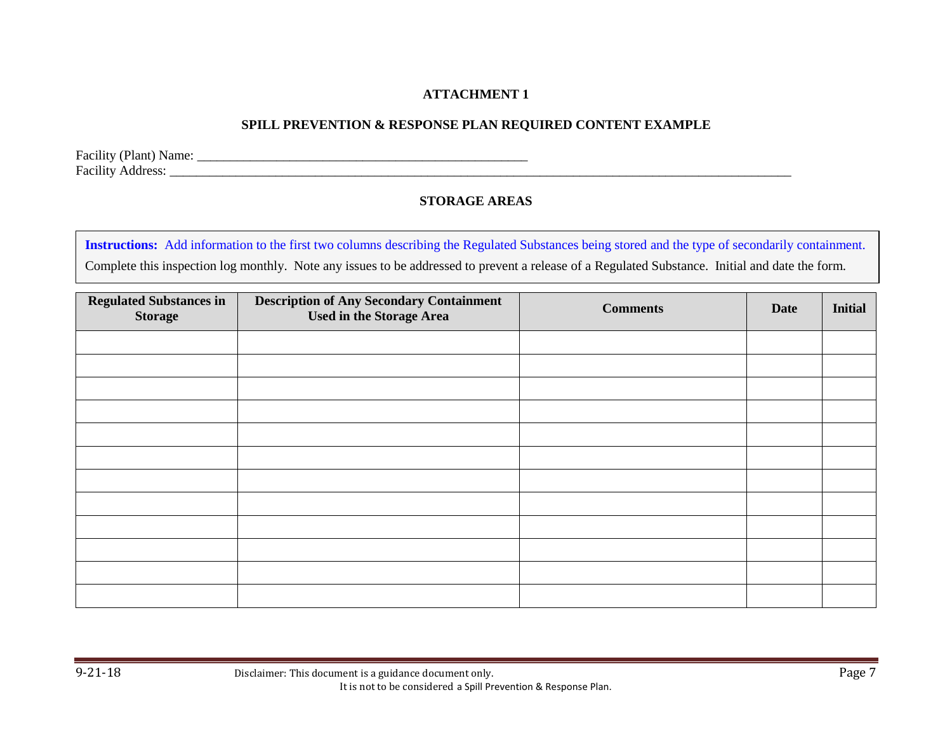## **SPILL PREVENTION & RESPONSE PLAN REQUIRED CONTENT EXAMPLE**

Facility (Plant) Name: \_\_\_\_\_\_\_\_\_\_\_\_\_\_\_\_\_\_\_\_\_\_\_\_\_\_\_\_\_\_\_\_\_\_\_\_\_\_\_\_\_\_\_\_\_\_\_\_\_\_ Facility Address: \_\_\_\_\_\_\_\_\_\_\_\_\_\_\_\_\_\_\_\_\_\_\_\_\_\_\_\_\_\_\_\_\_\_\_\_\_\_\_\_\_\_\_\_\_\_\_\_\_\_\_\_\_\_\_\_\_\_\_\_\_\_\_\_\_\_\_\_\_\_\_\_\_\_\_\_\_\_\_\_\_\_\_\_\_\_\_\_\_\_\_\_\_\_

## **STORAGE AREAS**

**Instructions:** Add information to the first two columns describing the Regulated Substances being stored and the type of secondarily containment. Complete this inspection log monthly. Note any issues to be addressed to prevent a release of a Regulated Substance. Initial and date the form.

| <b>Regulated Substances in</b><br><b>Storage</b> | <b>Description of Any Secondary Containment</b><br><b>Used in the Storage Area</b> | <b>Comments</b> | <b>Date</b> | <b>Initial</b> |
|--------------------------------------------------|------------------------------------------------------------------------------------|-----------------|-------------|----------------|
|                                                  |                                                                                    |                 |             |                |
|                                                  |                                                                                    |                 |             |                |
|                                                  |                                                                                    |                 |             |                |
|                                                  |                                                                                    |                 |             |                |
|                                                  |                                                                                    |                 |             |                |
|                                                  |                                                                                    |                 |             |                |
|                                                  |                                                                                    |                 |             |                |
|                                                  |                                                                                    |                 |             |                |
|                                                  |                                                                                    |                 |             |                |
|                                                  |                                                                                    |                 |             |                |
|                                                  |                                                                                    |                 |             |                |
|                                                  |                                                                                    |                 |             |                |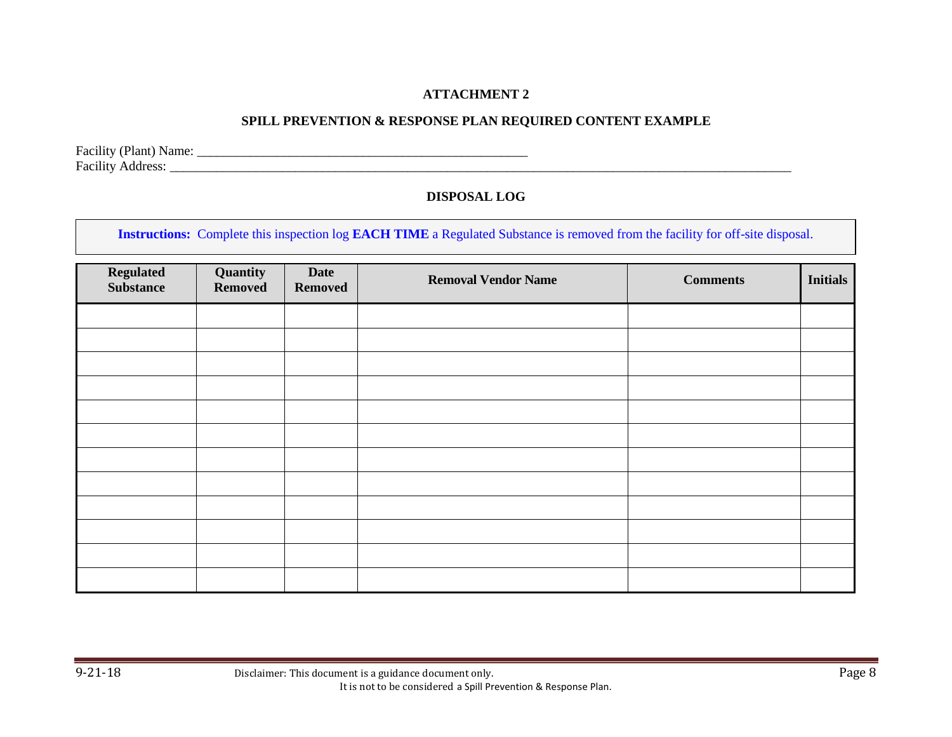# **SPILL PREVENTION & RESPONSE PLAN REQUIRED CONTENT EXAMPLE**

Facility (Plant) Name: \_\_\_\_\_\_\_\_\_\_\_\_\_\_\_\_\_\_\_\_\_\_\_\_\_\_\_\_\_\_\_\_\_\_\_\_\_\_\_\_\_\_\_\_\_\_\_\_\_\_

## Facility Address: \_\_\_\_\_\_\_\_\_\_\_\_\_\_\_\_\_\_\_\_\_\_\_\_\_\_\_\_\_\_\_\_\_\_\_\_\_\_\_\_\_\_\_\_\_\_\_\_\_\_\_\_\_\_\_\_\_\_\_\_\_\_\_\_\_\_\_\_\_\_\_\_\_\_\_\_\_\_\_\_\_\_\_\_\_\_\_\_\_\_\_\_\_\_

## **DISPOSAL LOG**

**Instructions:** Complete this inspection log **EACH TIME** a Regulated Substance is removed from the facility for off-site disposal.

| Regulated<br><b>Substance</b> | Quantity<br>Removed | Date<br><b>Removed</b> | <b>Removal Vendor Name</b> | <b>Comments</b> | <b>Initials</b> |
|-------------------------------|---------------------|------------------------|----------------------------|-----------------|-----------------|
|                               |                     |                        |                            |                 |                 |
|                               |                     |                        |                            |                 |                 |
|                               |                     |                        |                            |                 |                 |
|                               |                     |                        |                            |                 |                 |
|                               |                     |                        |                            |                 |                 |
|                               |                     |                        |                            |                 |                 |
|                               |                     |                        |                            |                 |                 |
|                               |                     |                        |                            |                 |                 |
|                               |                     |                        |                            |                 |                 |
|                               |                     |                        |                            |                 |                 |
|                               |                     |                        |                            |                 |                 |
|                               |                     |                        |                            |                 |                 |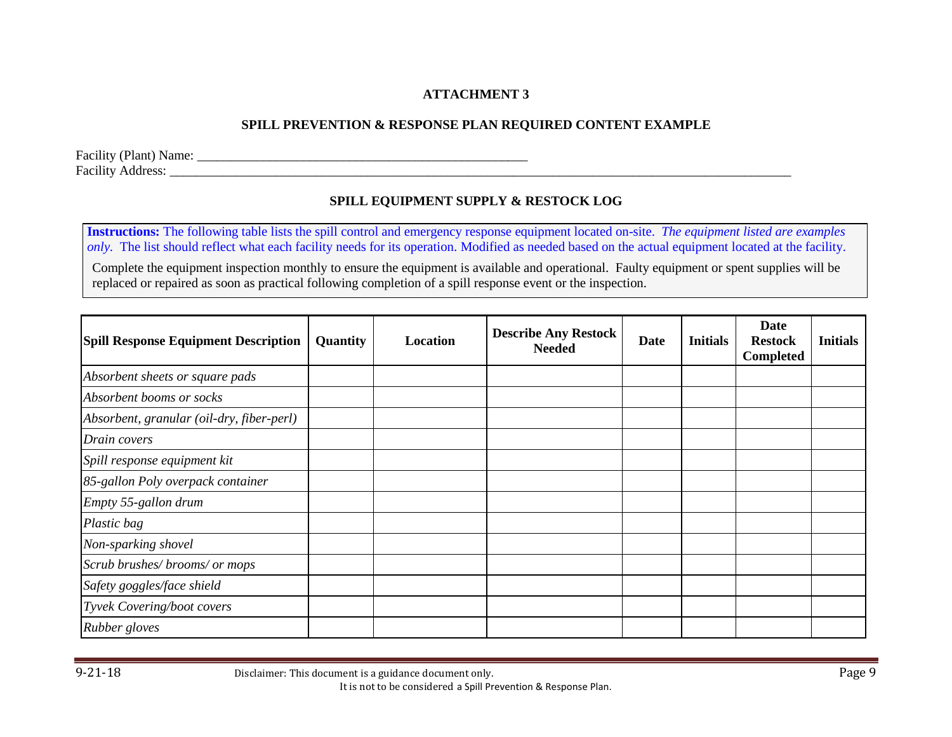# **SPILL PREVENTION & RESPONSE PLAN REQUIRED CONTENT EXAMPLE**

Facility (Plant) Name: \_\_\_\_\_\_\_\_\_\_\_\_\_\_\_\_\_\_\_\_\_\_\_\_\_\_\_\_\_\_\_\_\_\_\_\_\_\_\_\_\_\_\_\_\_\_\_\_\_\_ Facility Address: \_\_\_\_\_\_\_\_\_\_\_\_\_\_\_\_\_\_\_\_\_\_\_\_\_\_\_\_\_\_\_\_\_\_\_\_\_\_\_\_\_\_\_\_\_\_\_\_\_\_\_\_\_\_\_\_\_\_\_\_\_\_\_\_\_\_\_\_\_\_\_\_\_\_\_\_\_\_\_\_\_\_\_\_\_\_\_\_\_\_\_\_\_\_

# **SPILL EQUIPMENT SUPPLY & RESTOCK LOG**

**Instructions:** The following table lists the spill control and emergency response equipment located on-site. *The equipment listed are examples only*. The list should reflect what each facility needs for its operation. Modified as needed based on the actual equipment located at the facility.

Complete the equipment inspection monthly to ensure the equipment is available and operational. Faulty equipment or spent supplies will be replaced or repaired as soon as practical following completion of a spill response event or the inspection.

| <b>Spill Response Equipment Description</b> | Quantity | Location | <b>Describe Any Restock</b><br><b>Needed</b> | Date | <b>Initials</b> | Date<br><b>Restock</b><br>Completed | <b>Initials</b> |
|---------------------------------------------|----------|----------|----------------------------------------------|------|-----------------|-------------------------------------|-----------------|
| Absorbent sheets or square pads             |          |          |                                              |      |                 |                                     |                 |
| Absorbent booms or socks                    |          |          |                                              |      |                 |                                     |                 |
| Absorbent, granular (oil-dry, fiber-perl)   |          |          |                                              |      |                 |                                     |                 |
| Drain covers                                |          |          |                                              |      |                 |                                     |                 |
| Spill response equipment kit                |          |          |                                              |      |                 |                                     |                 |
| 85-gallon Poly overpack container           |          |          |                                              |      |                 |                                     |                 |
| Empty 55-gallon drum                        |          |          |                                              |      |                 |                                     |                 |
| Plastic bag                                 |          |          |                                              |      |                 |                                     |                 |
| Non-sparking shovel                         |          |          |                                              |      |                 |                                     |                 |
| Scrub brushes/brooms/or mops                |          |          |                                              |      |                 |                                     |                 |
| Safety goggles/face shield                  |          |          |                                              |      |                 |                                     |                 |
| Tyvek Covering/boot covers                  |          |          |                                              |      |                 |                                     |                 |
| Rubber gloves                               |          |          |                                              |      |                 |                                     |                 |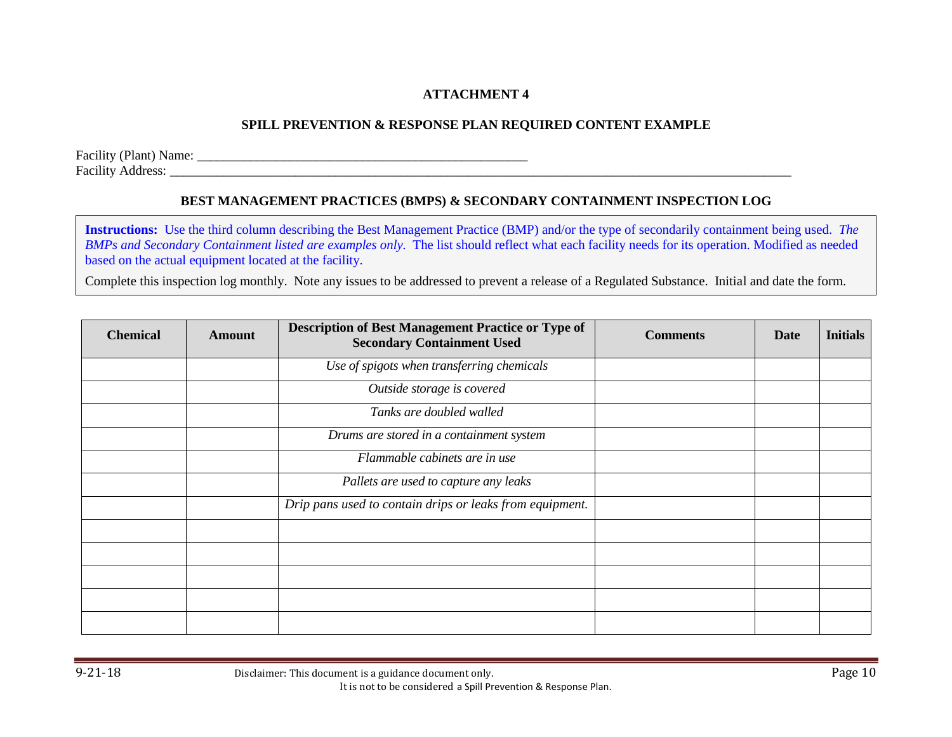## **SPILL PREVENTION & RESPONSE PLAN REQUIRED CONTENT EXAMPLE**

Facility (Plant) Name: \_\_\_\_\_\_\_\_\_\_\_\_\_\_\_\_\_\_\_\_\_\_\_\_\_\_\_\_\_\_\_\_\_\_\_\_\_\_\_\_\_\_\_\_\_\_\_\_\_\_ Facility Address: \_\_\_\_\_\_\_\_\_\_\_\_\_\_\_\_\_\_\_\_\_\_\_\_\_\_\_\_\_\_\_\_\_\_\_\_\_\_\_\_\_\_\_\_\_\_\_\_\_\_\_\_\_\_\_\_\_\_\_\_\_\_\_\_\_\_\_\_\_\_\_\_\_\_\_\_\_\_\_\_\_\_\_\_\_\_\_\_\_\_\_\_\_\_

## **BEST MANAGEMENT PRACTICES (BMPS) & SECONDARY CONTAINMENT INSPECTION LOG**

**Instructions:** Use the third column describing the Best Management Practice (BMP) and/or the type of secondarily containment being used. *The BMPs and Secondary Containment listed are examples only.* The list should reflect what each facility needs for its operation. Modified as needed based on the actual equipment located at the facility.

Complete this inspection log monthly. Note any issues to be addressed to prevent a release of a Regulated Substance. Initial and date the form.

| <b>Chemical</b> | <b>Amount</b> | <b>Description of Best Management Practice or Type of</b><br><b>Secondary Containment Used</b> | <b>Comments</b> | Date | <b>Initials</b> |
|-----------------|---------------|------------------------------------------------------------------------------------------------|-----------------|------|-----------------|
|                 |               | Use of spigots when transferring chemicals                                                     |                 |      |                 |
|                 |               | Outside storage is covered                                                                     |                 |      |                 |
|                 |               | Tanks are doubled walled                                                                       |                 |      |                 |
|                 |               | Drums are stored in a containment system                                                       |                 |      |                 |
|                 |               | Flammable cabinets are in use                                                                  |                 |      |                 |
|                 |               | Pallets are used to capture any leaks                                                          |                 |      |                 |
|                 |               | Drip pans used to contain drips or leaks from equipment.                                       |                 |      |                 |
|                 |               |                                                                                                |                 |      |                 |
|                 |               |                                                                                                |                 |      |                 |
|                 |               |                                                                                                |                 |      |                 |
|                 |               |                                                                                                |                 |      |                 |
|                 |               |                                                                                                |                 |      |                 |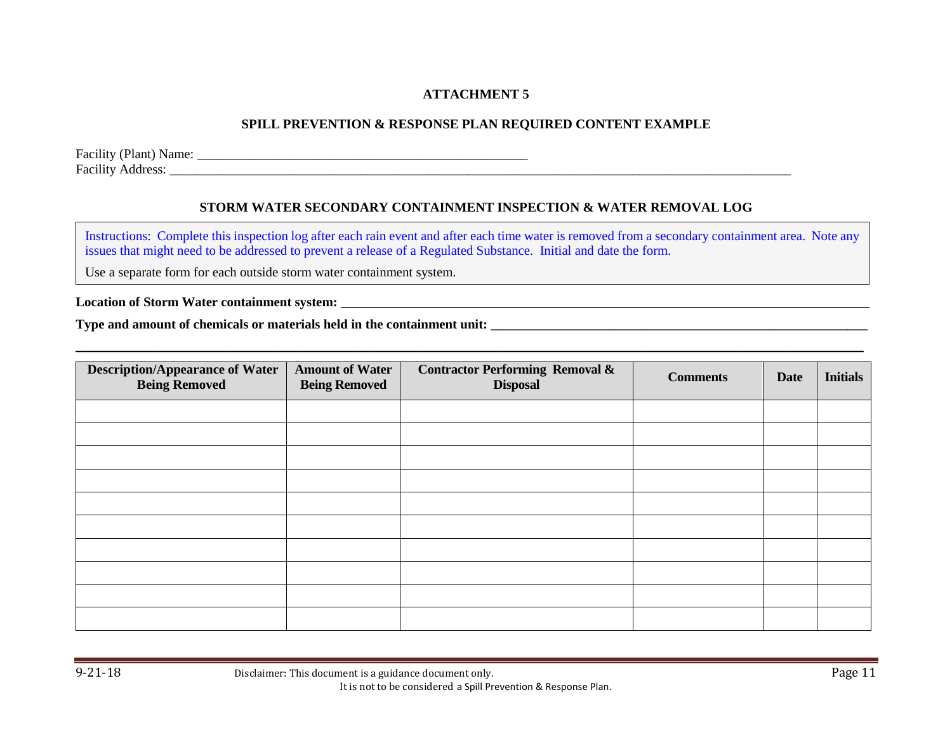## **SPILL PREVENTION & RESPONSE PLAN REQUIRED CONTENT EXAMPLE**

Facility (Plant) Name: \_\_\_\_\_\_\_\_\_\_\_\_\_\_\_\_\_\_\_\_\_\_\_\_\_\_\_\_\_\_\_\_\_\_\_\_\_\_\_\_\_\_\_\_\_\_\_\_\_\_ Facility Address: \_\_\_\_\_\_\_\_\_\_\_\_\_\_\_\_\_\_\_\_\_\_\_\_\_\_\_\_\_\_\_\_\_\_\_\_\_\_\_\_\_\_\_\_\_\_\_\_\_\_\_\_\_\_\_\_\_\_\_\_\_\_\_\_\_\_\_\_\_\_\_\_\_\_\_\_\_\_\_\_\_\_\_\_\_\_\_\_\_\_\_\_\_\_

### **STORM WATER SECONDARY CONTAINMENT INSPECTION & WATER REMOVAL LOG**

Instructions: Complete this inspection log after each rain event and after each time water is removed from a secondary containment area. Note any issues that might need to be addressed to prevent a release of a Regulated Substance. Initial and date the form.

**\_\_\_\_\_\_\_\_\_\_\_\_\_\_\_\_\_\_\_\_\_\_\_\_\_\_\_\_\_\_\_\_\_\_\_\_\_\_\_\_\_\_\_\_\_\_\_\_\_\_\_\_\_\_\_\_\_\_\_\_\_\_\_\_\_\_\_\_\_\_\_\_\_\_\_\_\_\_\_\_\_\_**

Use a separate form for each outside storm water containment system.

**Location of Storm Water containment system: \_\_\_\_\_\_\_\_\_\_\_\_\_\_\_\_\_\_\_\_\_\_\_\_\_\_\_\_\_\_\_\_\_\_\_\_\_\_\_\_\_\_\_\_\_\_\_\_\_\_\_\_\_\_\_\_\_\_\_\_\_\_\_\_\_\_\_\_\_\_\_\_\_\_\_\_\_\_\_\_**

**Type and amount of chemicals or materials held in the containment unit:** 

| <b>Description/Appearance of Water</b><br><b>Being Removed</b> | <b>Amount of Water</b><br><b>Being Removed</b> | <b>Contractor Performing Removal &amp;</b><br><b>Disposal</b> | <b>Comments</b> | <b>Date</b> | <b>Initials</b> |
|----------------------------------------------------------------|------------------------------------------------|---------------------------------------------------------------|-----------------|-------------|-----------------|
|                                                                |                                                |                                                               |                 |             |                 |
|                                                                |                                                |                                                               |                 |             |                 |
|                                                                |                                                |                                                               |                 |             |                 |
|                                                                |                                                |                                                               |                 |             |                 |
|                                                                |                                                |                                                               |                 |             |                 |
|                                                                |                                                |                                                               |                 |             |                 |
|                                                                |                                                |                                                               |                 |             |                 |
|                                                                |                                                |                                                               |                 |             |                 |
|                                                                |                                                |                                                               |                 |             |                 |
|                                                                |                                                |                                                               |                 |             |                 |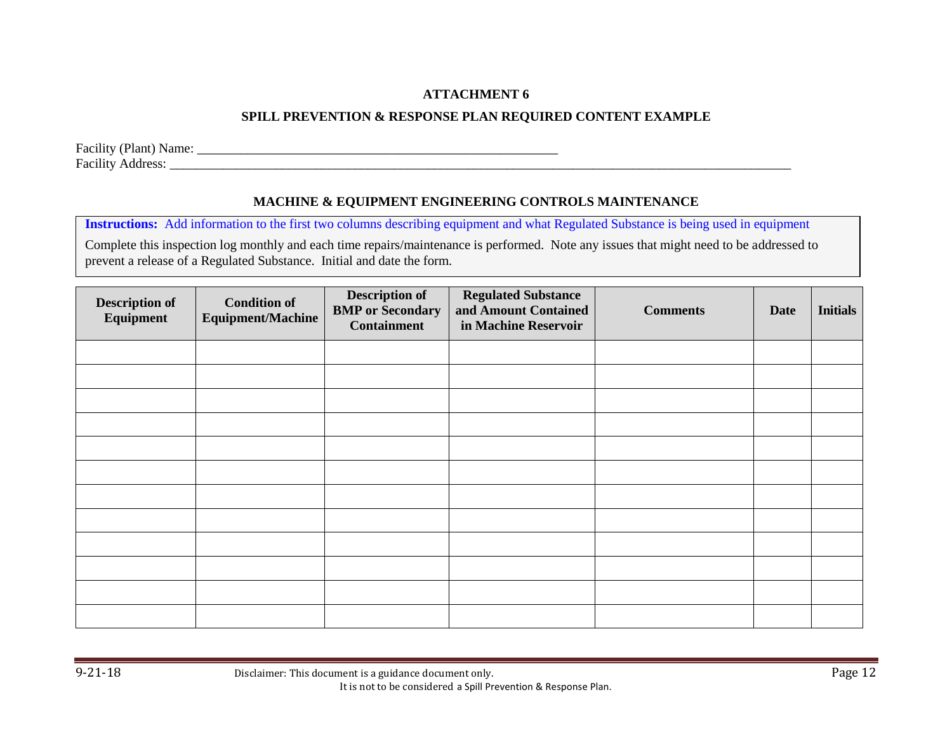# **SPILL PREVENTION & RESPONSE PLAN REQUIRED CONTENT EXAMPLE**

Facility (Plant) Name: \_\_\_\_\_\_\_\_\_\_\_\_\_\_\_\_\_\_\_\_\_\_\_\_\_\_\_\_\_\_\_\_\_\_\_\_\_\_\_\_\_\_\_\_\_\_\_\_\_\_ Facility Address: \_\_\_\_\_\_\_\_\_\_\_\_\_\_\_\_\_\_\_\_\_\_\_\_\_\_\_\_\_\_\_\_\_\_\_\_\_\_\_\_\_\_\_\_\_\_\_\_\_\_\_\_\_\_\_\_\_\_\_\_\_\_\_\_\_\_\_\_\_\_\_\_\_\_\_\_\_\_\_\_\_\_\_\_\_\_\_\_\_\_\_\_\_\_

# **MACHINE & EQUIPMENT ENGINEERING CONTROLS MAINTENANCE**

**Instructions:** Add information to the first two columns describing equipment and what Regulated Substance is being used in equipment

Complete this inspection log monthly and each time repairs/maintenance is performed. Note any issues that might need to be addressed to prevent a release of a Regulated Substance. Initial and date the form.

| <b>Description of</b><br>Equipment | <b>Condition of</b><br><b>Equipment/Machine</b> | <b>Description of</b><br><b>BMP</b> or Secondary<br><b>Containment</b> | <b>Regulated Substance</b><br>and Amount Contained<br>in Machine Reservoir | <b>Comments</b> | <b>Date</b> | <b>Initials</b> |
|------------------------------------|-------------------------------------------------|------------------------------------------------------------------------|----------------------------------------------------------------------------|-----------------|-------------|-----------------|
|                                    |                                                 |                                                                        |                                                                            |                 |             |                 |
|                                    |                                                 |                                                                        |                                                                            |                 |             |                 |
|                                    |                                                 |                                                                        |                                                                            |                 |             |                 |
|                                    |                                                 |                                                                        |                                                                            |                 |             |                 |
|                                    |                                                 |                                                                        |                                                                            |                 |             |                 |
|                                    |                                                 |                                                                        |                                                                            |                 |             |                 |
|                                    |                                                 |                                                                        |                                                                            |                 |             |                 |
|                                    |                                                 |                                                                        |                                                                            |                 |             |                 |
|                                    |                                                 |                                                                        |                                                                            |                 |             |                 |
|                                    |                                                 |                                                                        |                                                                            |                 |             |                 |
|                                    |                                                 |                                                                        |                                                                            |                 |             |                 |
|                                    |                                                 |                                                                        |                                                                            |                 |             |                 |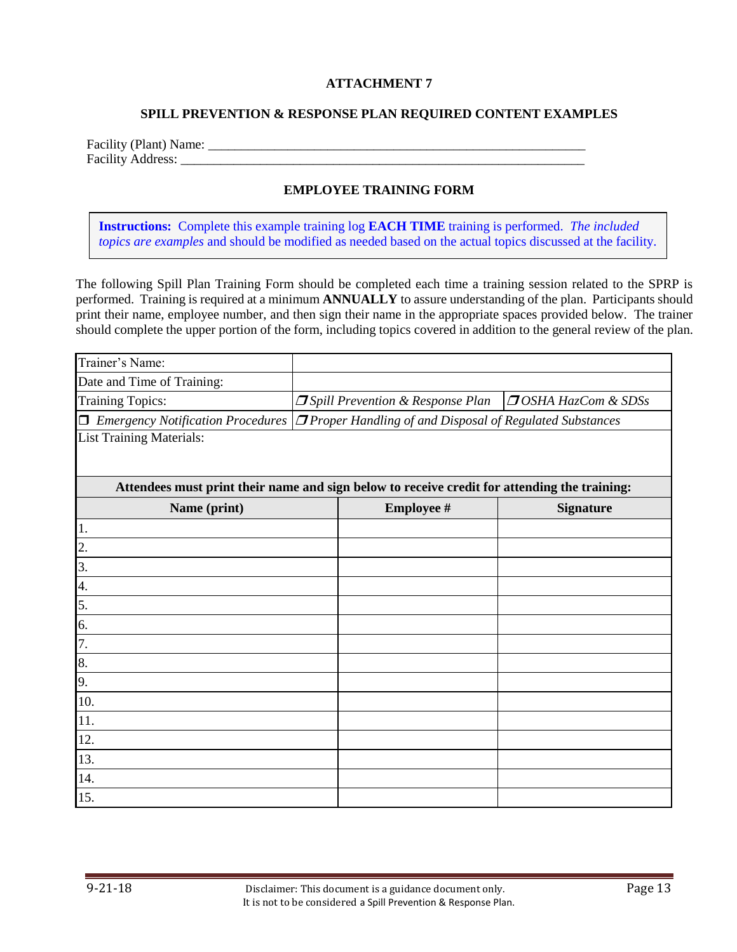#### **SPILL PREVENTION & RESPONSE PLAN REQUIRED CONTENT EXAMPLES**

| Facility (Plant) Name:   |  |
|--------------------------|--|
| <b>Facility Address:</b> |  |

#### **EMPLOYEE TRAINING FORM**

**Instructions:** Complete this example training log **EACH TIME** training is performed. *The included topics are examples* and should be modified as needed based on the actual topics discussed at the facility.

The following Spill Plan Training Form should be completed each time a training session related to the SPRP is performed. Training is required at a minimum **ANNUALLY** to assure understanding of the plan. Participants should print their name, employee number, and then sign their name in the appropriate spaces provided below. The trainer should complete the upper portion of the form, including topics covered in addition to the general review of the plan.

| Trainer's Name:                                                                                                    |                                           |                                |
|--------------------------------------------------------------------------------------------------------------------|-------------------------------------------|--------------------------------|
| Date and Time of Training:                                                                                         |                                           |                                |
| <b>Training Topics:</b>                                                                                            | <b>J</b> Spill Prevention & Response Plan | <b>JOSHA HazCom &amp; SDSs</b> |
| Emergency Notification Procedures $ \mathcal{J}$ Proper Handling of and Disposal of Regulated Substances<br>$\Box$ |                                           |                                |
| <b>List Training Materials:</b>                                                                                    |                                           |                                |
|                                                                                                                    |                                           |                                |
| Attendees must print their name and sign below to receive credit for attending the training:                       |                                           |                                |
| Name (print)                                                                                                       | <b>Employee #</b>                         | <b>Signature</b>               |
| 1.                                                                                                                 |                                           |                                |
| 2.                                                                                                                 |                                           |                                |
| 3.                                                                                                                 |                                           |                                |
| 4.                                                                                                                 |                                           |                                |
| 5.                                                                                                                 |                                           |                                |
| 6.                                                                                                                 |                                           |                                |
| 7.                                                                                                                 |                                           |                                |
| 8.                                                                                                                 |                                           |                                |
| 9.                                                                                                                 |                                           |                                |
| 10.                                                                                                                |                                           |                                |
| 11.                                                                                                                |                                           |                                |
| 12.                                                                                                                |                                           |                                |
| 13.                                                                                                                |                                           |                                |
| 14.                                                                                                                |                                           |                                |
| 15.                                                                                                                |                                           |                                |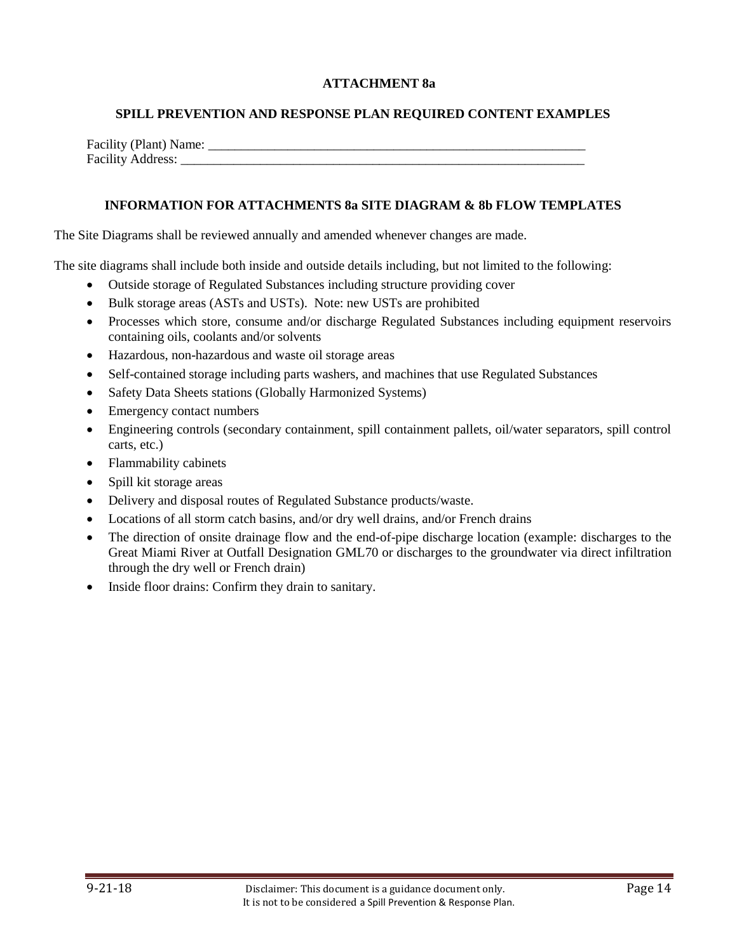### **ATTACHMENT 8a**

#### **SPILL PREVENTION AND RESPONSE PLAN REQUIRED CONTENT EXAMPLES**

| Facility (Plant) Name:   |  |
|--------------------------|--|
| <b>Facility Address:</b> |  |

#### **INFORMATION FOR ATTACHMENTS 8a SITE DIAGRAM & 8b FLOW TEMPLATES**

The Site Diagrams shall be reviewed annually and amended whenever changes are made.

The site diagrams shall include both inside and outside details including, but not limited to the following:

- Outside storage of Regulated Substances including structure providing cover
- Bulk storage areas (ASTs and USTs). Note: new USTs are prohibited
- Processes which store, consume and/or discharge Regulated Substances including equipment reservoirs containing oils, coolants and/or solvents
- Hazardous, non-hazardous and waste oil storage areas
- Self-contained storage including parts washers, and machines that use Regulated Substances
- Safety Data Sheets stations (Globally Harmonized Systems)
- Emergency contact numbers
- Engineering controls (secondary containment, spill containment pallets, oil/water separators, spill control carts, etc.)
- Flammability cabinets
- Spill kit storage areas
- Delivery and disposal routes of Regulated Substance products/waste.
- Locations of all storm catch basins, and/or dry well drains, and/or French drains
- The direction of onsite drainage flow and the end-of-pipe discharge location (example: discharges to the Great Miami River at Outfall Designation GML70 or discharges to the groundwater via direct infiltration through the dry well or French drain)
- Inside floor drains: Confirm they drain to sanitary.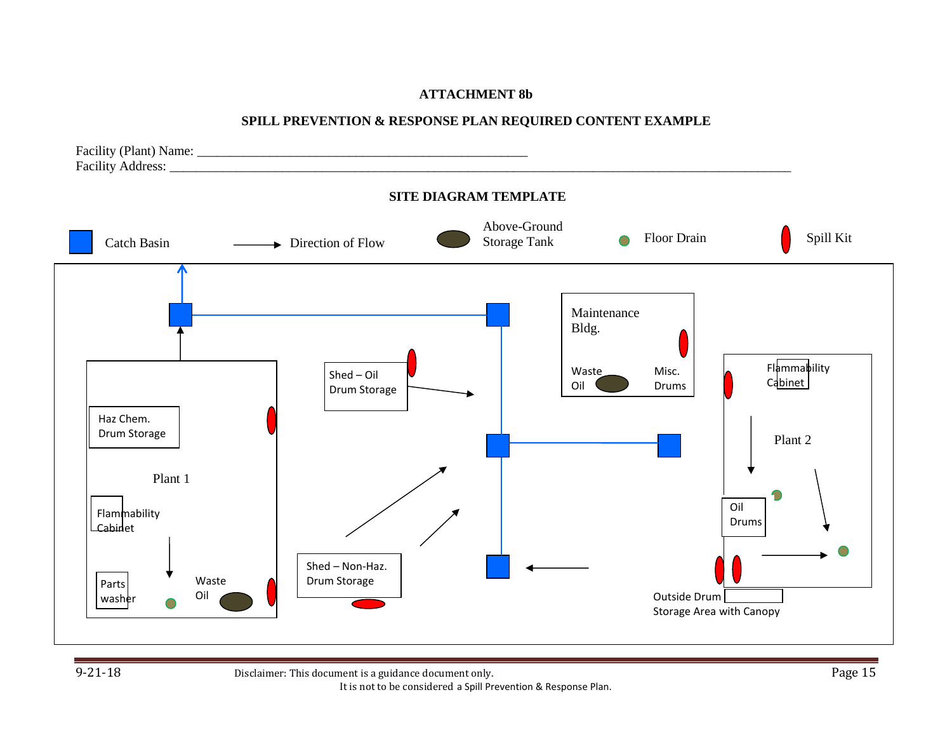## **ATTACHMENT 8b**

## **SPILL PREVENTION & RESPONSE PLAN REQUIRED CONTENT EXAMPLE**

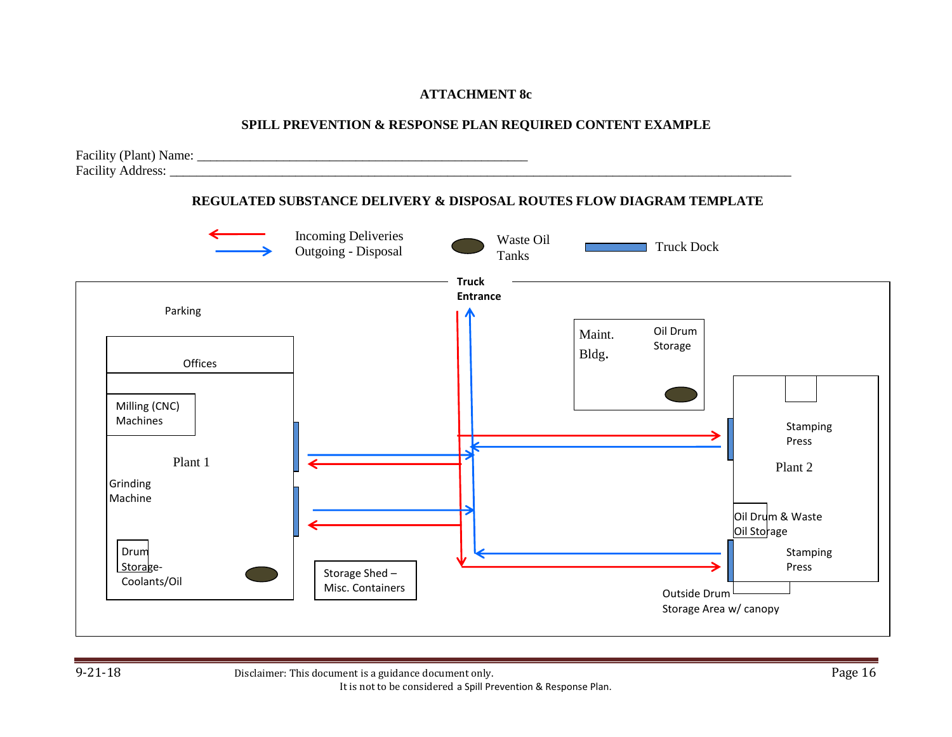# **ATTACHMENT 8c**

# **SPILL PREVENTION & RESPONSE PLAN REQUIRED CONTENT EXAMPLE**

Facility (Plant) Name: \_\_\_\_\_\_\_\_\_\_\_\_\_\_\_\_\_\_\_\_\_\_\_\_\_\_\_\_\_\_\_\_\_\_\_\_\_\_\_\_\_\_\_\_\_\_\_\_\_\_ Facility Address: \_\_\_\_\_\_\_\_\_\_\_\_\_\_\_\_\_\_\_\_\_\_\_\_\_\_\_\_\_\_\_\_\_\_\_\_\_\_\_\_\_\_\_\_\_\_\_\_\_\_\_\_\_\_\_\_\_\_\_\_\_\_\_\_\_\_\_\_\_\_\_\_\_\_\_\_\_\_\_\_\_\_\_\_\_\_\_\_\_\_\_\_\_\_

## **REGULATED SUBSTANCE DELIVERY & DISPOSAL ROUTES FLOW DIAGRAM TEMPLATE**

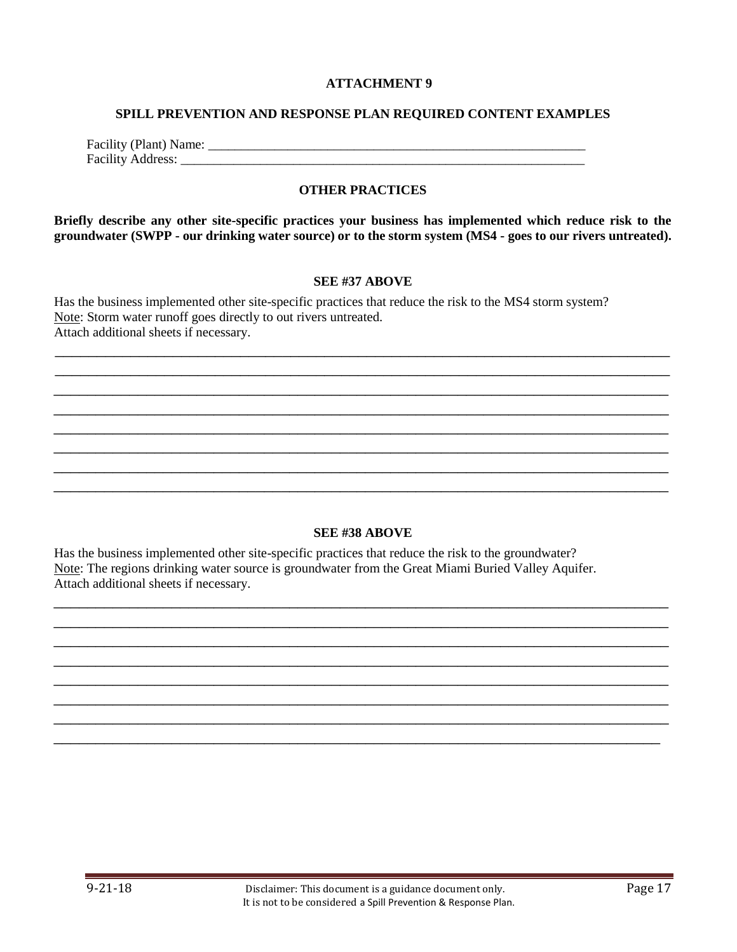#### **SPILL PREVENTION AND RESPONSE PLAN REQUIRED CONTENT EXAMPLES**

| Facility (Plant) Name:   |  |
|--------------------------|--|
| <b>Facility Address:</b> |  |

#### **OTHER PRACTICES**

**Briefly describe any other site-specific practices your business has implemented which reduce risk to the groundwater (SWPP - our drinking water source) or to the storm system (MS4 - goes to our rivers untreated).** 

#### **SEE #37 ABOVE**

\_\_\_\_\_\_\_\_\_\_\_\_\_\_\_\_\_\_\_\_\_\_\_\_\_\_\_\_\_\_\_\_\_\_\_\_\_\_\_\_\_\_\_\_\_\_\_\_\_\_\_\_\_\_\_\_\_\_\_\_\_\_\_\_\_\_\_\_\_\_\_\_\_ \_\_\_\_\_\_\_\_\_\_\_\_\_\_\_\_\_\_\_\_\_\_\_\_\_\_\_\_\_\_\_\_\_\_\_\_\_\_\_\_\_\_\_\_\_\_\_\_\_\_\_\_\_\_\_\_\_\_\_\_\_\_\_\_\_\_\_\_\_\_\_\_\_ \_\_\_\_\_\_\_\_\_\_\_\_\_\_\_\_\_\_\_\_\_\_\_\_\_\_\_\_\_\_\_\_\_\_\_\_\_\_\_\_\_\_\_\_\_\_\_\_\_\_\_\_\_\_\_\_\_\_\_\_\_\_\_\_\_\_\_\_\_\_\_\_\_ \_\_\_\_\_\_\_\_\_\_\_\_\_\_\_\_\_\_\_\_\_\_\_\_\_\_\_\_\_\_\_\_\_\_\_\_\_\_\_\_\_\_\_\_\_\_\_\_\_\_\_\_\_\_\_\_\_\_\_\_\_\_\_\_\_\_\_\_\_\_\_\_\_  $\overline{a_1}$  ,  $\overline{a_2}$  ,  $\overline{a_3}$  ,  $\overline{a_4}$  ,  $\overline{a_5}$  ,  $\overline{a_6}$  ,  $\overline{a_7}$  ,  $\overline{a_8}$  ,  $\overline{a_9}$  ,  $\overline{a_9}$  ,  $\overline{a_9}$  ,  $\overline{a_9}$  ,  $\overline{a_9}$  ,  $\overline{a_9}$  ,  $\overline{a_9}$  ,  $\overline{a_9}$  ,  $\overline{a_9}$  ,  $\overline{a_1}$  ,  $\overline{a_2}$  ,  $\overline{a_3}$  ,  $\overline{a_4}$  ,  $\overline{a_5}$  ,  $\overline{a_6}$  ,  $\overline{a_7}$  ,  $\overline{a_8}$  ,  $\overline{a_9}$  ,  $\overline{a_9}$  ,  $\overline{a_9}$  ,  $\overline{a_9}$  ,  $\overline{a_9}$  ,  $\overline{a_9}$  ,  $\overline{a_9}$  ,  $\overline{a_9}$  ,  $\overline{a_9}$  ,  $\overline{a_1}$  ,  $\overline{a_2}$  ,  $\overline{a_3}$  ,  $\overline{a_4}$  ,  $\overline{a_5}$  ,  $\overline{a_6}$  ,  $\overline{a_7}$  ,  $\overline{a_8}$  ,  $\overline{a_9}$  ,  $\overline{a_9}$  ,  $\overline{a_9}$  ,  $\overline{a_9}$  ,  $\overline{a_9}$  ,  $\overline{a_9}$  ,  $\overline{a_9}$  ,  $\overline{a_9}$  ,  $\overline{a_9}$  , \_\_\_\_\_\_\_\_\_\_\_\_\_\_\_\_\_\_\_\_\_\_\_\_\_\_\_\_\_\_\_\_\_\_\_\_\_\_\_\_\_\_\_\_\_\_\_\_\_\_\_\_\_\_\_\_\_\_\_\_\_\_\_\_\_\_\_\_\_\_\_\_\_

Has the business implemented other site-specific practices that reduce the risk to the MS4 storm system? Note: Storm water runoff goes directly to out rivers untreated. Attach additional sheets if necessary.

#### **SEE #38 ABOVE**

\_\_\_\_\_\_\_\_\_\_\_\_\_\_\_\_\_\_\_\_\_\_\_\_\_\_\_\_\_\_\_\_\_\_\_\_\_\_\_\_\_\_\_\_\_\_\_\_\_\_\_\_\_\_\_\_\_\_\_\_\_\_\_\_\_\_\_\_\_\_\_\_\_ \_\_\_\_\_\_\_\_\_\_\_\_\_\_\_\_\_\_\_\_\_\_\_\_\_\_\_\_\_\_\_\_\_\_\_\_\_\_\_\_\_\_\_\_\_\_\_\_\_\_\_\_\_\_\_\_\_\_\_\_\_\_\_\_\_\_\_\_\_\_\_\_\_ \_\_\_\_\_\_\_\_\_\_\_\_\_\_\_\_\_\_\_\_\_\_\_\_\_\_\_\_\_\_\_\_\_\_\_\_\_\_\_\_\_\_\_\_\_\_\_\_\_\_\_\_\_\_\_\_\_\_\_\_\_\_\_\_\_\_\_\_\_\_\_\_\_ \_\_\_\_\_\_\_\_\_\_\_\_\_\_\_\_\_\_\_\_\_\_\_\_\_\_\_\_\_\_\_\_\_\_\_\_\_\_\_\_\_\_\_\_\_\_\_\_\_\_\_\_\_\_\_\_\_\_\_\_\_\_\_\_\_\_\_\_\_\_\_\_\_ \_\_\_\_\_\_\_\_\_\_\_\_\_\_\_\_\_\_\_\_\_\_\_\_\_\_\_\_\_\_\_\_\_\_\_\_\_\_\_\_\_\_\_\_\_\_\_\_\_\_\_\_\_\_\_\_\_\_\_\_\_\_\_\_\_\_\_\_\_\_\_\_\_ \_\_\_\_\_\_\_\_\_\_\_\_\_\_\_\_\_\_\_\_\_\_\_\_\_\_\_\_\_\_\_\_\_\_\_\_\_\_\_\_\_\_\_\_\_\_\_\_\_\_\_\_\_\_\_\_\_\_\_\_\_\_\_\_\_\_\_\_\_\_\_\_\_ \_\_\_\_\_\_\_\_\_\_\_\_\_\_\_\_\_\_\_\_\_\_\_\_\_\_\_\_\_\_\_\_\_\_\_\_\_\_\_\_\_\_\_\_\_\_\_\_\_\_\_\_\_\_\_\_\_\_\_\_\_\_\_\_\_\_\_\_\_\_\_\_\_ \_\_\_\_\_\_\_\_\_\_\_\_\_\_\_\_\_\_\_\_\_\_\_\_\_\_\_\_\_\_\_\_\_\_\_\_\_\_\_\_\_\_\_\_\_\_\_\_\_\_\_\_\_\_\_\_\_\_\_\_\_\_\_\_\_\_\_\_\_\_\_\_

Has the business implemented other site-specific practices that reduce the risk to the groundwater? Note: The regions drinking water source is groundwater from the Great Miami Buried Valley Aquifer. Attach additional sheets if necessary.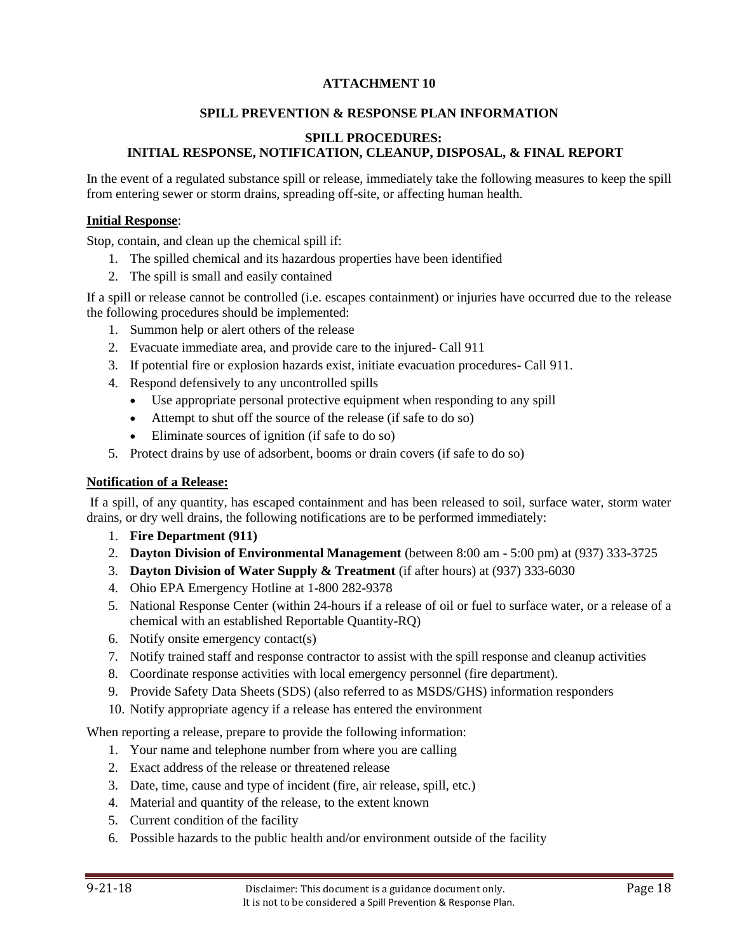## **SPILL PREVENTION & RESPONSE PLAN INFORMATION**

## **SPILL PROCEDURES: INITIAL RESPONSE, NOTIFICATION, CLEANUP, DISPOSAL, & FINAL REPORT**

In the event of a regulated substance spill or release, immediately take the following measures to keep the spill from entering sewer or storm drains, spreading off-site, or affecting human health.

### **Initial Response**:

Stop, contain, and clean up the chemical spill if:

- 1. The spilled chemical and its hazardous properties have been identified
- 2. The spill is small and easily contained

If a spill or release cannot be controlled (i.e. escapes containment) or injuries have occurred due to the release the following procedures should be implemented:

- 1. Summon help or alert others of the release
- 2. Evacuate immediate area, and provide care to the injured- Call 911
- 3. If potential fire or explosion hazards exist, initiate evacuation procedures- Call 911.
- 4. Respond defensively to any uncontrolled spills
	- Use appropriate personal protective equipment when responding to any spill
	- Attempt to shut off the source of the release (if safe to do so)
	- Eliminate sources of ignition (if safe to do so)
- 5. Protect drains by use of adsorbent, booms or drain covers (if safe to do so)

### **Notification of a Release:**

If a spill, of any quantity, has escaped containment and has been released to soil, surface water, storm water drains, or dry well drains, the following notifications are to be performed immediately:

- 1. **Fire Department (911)**
- 2. **Dayton Division of Environmental Management** (between 8:00 am 5:00 pm) at (937) 333-3725
- 3. **Dayton Division of Water Supply & Treatment** (if after hours) at (937) 333-6030
- 4. Ohio EPA Emergency Hotline at 1-800 282-9378
- 5. National Response Center (within 24-hours if a release of oil or fuel to surface water, or a release of a chemical with an established Reportable Quantity-RQ)
- 6. Notify onsite emergency contact(s)
- 7. Notify trained staff and response contractor to assist with the spill response and cleanup activities
- 8. Coordinate response activities with local emergency personnel (fire department).
- 9. Provide Safety Data Sheets (SDS) (also referred to as MSDS/GHS) information responders
- 10. Notify appropriate agency if a release has entered the environment

When reporting a release, prepare to provide the following information:

- 1. Your name and telephone number from where you are calling
- 2. Exact address of the release or threatened release
- 3. Date, time, cause and type of incident (fire, air release, spill, etc.)
- 4. Material and quantity of the release, to the extent known
- 5. Current condition of the facility
- 6. Possible hazards to the public health and/or environment outside of the facility